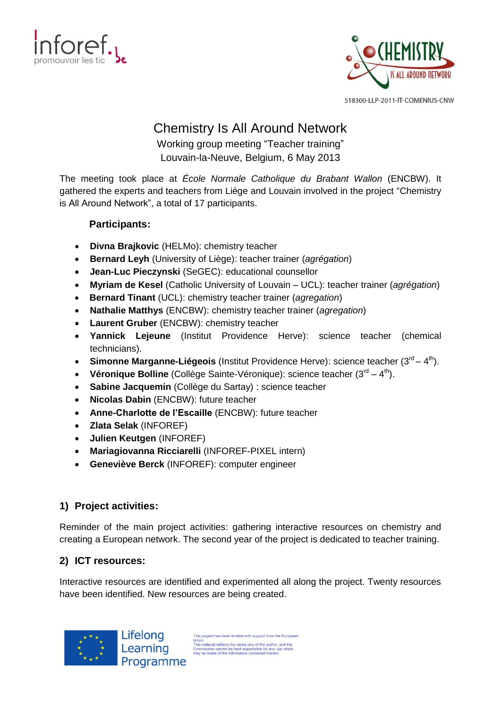



# Chemistry Is All Around Network

Working group meeting "Teacher training" Louvain-la-Neuve, Belgium, 6 May 2013

The meeting took place at *École Normale Catholique du Brabant Wallon* (ENCBW). It gathered the experts and teachers from Liège and Louvain involved in the project "Chemistry is All Around Network", a total of 17 participants.

# **Participants:**

- **Divna Brajkovic** (HELMo): chemistry teacher
- **Bernard Leyh** (University of Liège): teacher trainer (*agrégation*)
- **Jean-Luc Pieczynski** (SeGEC): educational counsellor
- **Myriam de Kesel** (Catholic University of Louvain UCL): teacher trainer (*agrégation*)
- **Bernard Tinant** (UCL): chemistry teacher trainer (*agregation*)
- **Nathalie Matthys** (ENCBW): chemistry teacher trainer (*agregation*)
- **Laurent Gruber** (ENCBW): chemistry teacher
- **Yannick Lejeune** (Institut Providence Herve): science teacher (chemical technicians).
- Simonne Marganne-Liégeois (Institut Providence Herve): science teacher (3<sup>rd</sup> 4<sup>th</sup>).
- Véronique Bolline (Collège Sainte-Véronique): science teacher (3<sup>rd</sup> 4<sup>th</sup>).
- **Sabine Jacquemin** (Collège du Sartay) : science teacher
- **Nicolas Dabin** (ENCBW): future teacher
- **Anne-Charlotte de l'Escaille** (ENCBW): future teacher
- **Zlata Selak** (INFOREF)
- **Julien Keutgen** (INFOREF)
- **Mariagiovanna Ricciarelli** (INFOREF-PIXEL intern)
- **Geneviève Berck** (INFOREF): computer engineer

# **1) Project activities:**

Reminder of the main project activities: gathering interactive resources on chemistry and creating a European network. The second year of the project is dedicated to teacher training.

# **2) ICT resources:**

Interactive resources are identified and experimented all along the project. Twenty resources have been identified. New resources are being created.



This project has been funded with support from the European This project nas been runded with support norm are Europ<br>
This material reflects the views only of the author,<br>
Commission cannot be held responsible for any use whic<br>
may be made of the information contained therein.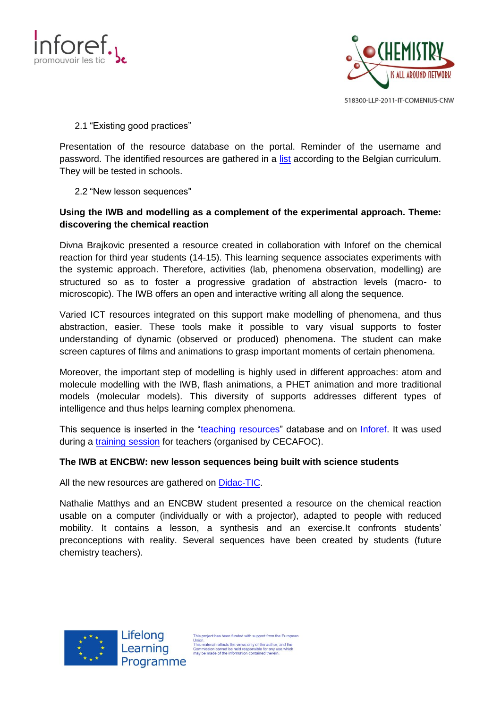



#### 2.1 "Existing good practices"

Presentation of the resource database on the portal. Reminder of the username and password. The identified resources are gathered in a [list](http://inforef.be/exterieurs/divna/theme.docx) according to the Belgian curriculum. They will be tested in schools.

#### 2.2 "New lesson sequences"

## **Using the IWB and modelling as a complement of the experimental approach. Theme: discovering the chemical reaction**

Divna Brajkovic presented a resource created in collaboration with Inforef on the chemical reaction for third year students (14-15). This learning sequence associates experiments with the systemic approach. Therefore, activities (lab, phenomena observation, modelling) are structured so as to foster a progressive gradation of abstraction levels (macro- to microscopic). The IWB offers an open and interactive writing all along the sequence.

Varied ICT resources integrated on this support make modelling of phenomena, and thus abstraction, easier. These tools make it possible to vary visual supports to foster understanding of dynamic (observed or produced) phenomena. The student can make screen captures of films and animations to grasp important moments of certain phenomena.

Moreover, the important step of modelling is highly used in different approaches: atom and molecule modelling with the IWB, flash animations, a PHET animation and more traditional models (molecular models). This diversity of supports addresses different types of intelligence and thus helps learning complex phenomena.

This sequence is inserted in the "teaching [resources"](http://chemistrynetwork.pixel-online.org/TRS_scheda.php?art_id=248&lck=&top=&pep=&sua=&tgl=<r=4&q=) database and on [Inforef.](http://inforef.be/exterieurs/divna/sequences_cours_brajkovic.htm) It was used during a *training session* for teachers (organised by CECAFOC).

#### **The IWB at ENCBW: new lesson sequences being built with science students**

All the new resources are gathered on [Didac-TIC.](http://didac-tic.sk1.be/)

Nathalie Matthys and an ENCBW student presented a resource on the chemical reaction usable on a computer (individually or with a projector), adapted to people with reduced mobility. It contains a lesson, a synthesis and an exercise.It confronts students' preconceptions with reality. Several sequences have been created by students (future chemistry teachers).



This project has been funded with support from the European This material reflects the views only of the authority.<br>This material reflects the views only of the author, and the<br>Commission cannot be held responsible for any use which<br>may be made of the information contained therein.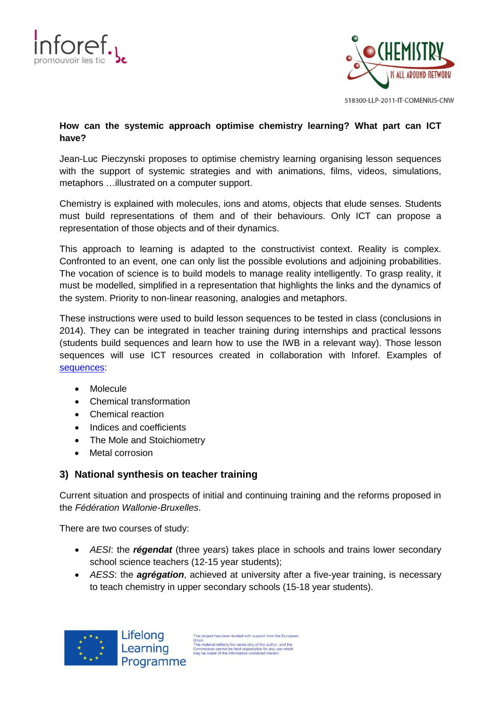



#### **How can the systemic approach optimise chemistry learning? What part can ICT have?**

Jean-Luc Pieczynski proposes to optimise chemistry learning organising lesson sequences with the support of systemic strategies and with animations, films, videos, simulations, metaphors …illustrated on a computer support.

Chemistry is explained with molecules, ions and atoms, objects that elude senses. Students must build representations of them and of their behaviours. Only ICT can propose a representation of those objects and of their dynamics.

This approach to learning is adapted to the constructivist context. Reality is complex. Confronted to an event, one can only list the possible evolutions and adjoining probabilities. The vocation of science is to build models to manage reality intelligently. To grasp reality, it must be modelled, simplified in a representation that highlights the links and the dynamics of the system. Priority to non-linear reasoning, analogies and metaphors.

These instructions were used to build lesson sequences to be tested in class (conclusions in 2014). They can be integrated in teacher training during internships and practical lessons (students build sequences and learn how to use the IWB in a relevant way). Those lesson sequences will use ICT resources created in collaboration with Inforef. Examples of [sequences:](http://inforef.be/exterieurs/divna/PISTES_POUR_OPTIMISERv4.pdf)

- Molecule
- Chemical transformation
- Chemical reaction
- Indices and coefficients
- The Mole and Stoichiometry
- Metal corrosion

## **3) National synthesis on teacher training**

Current situation and prospects of initial and continuing training and the reforms proposed in the *Fédération Wallonie-Bruxelles*.

There are two courses of study:

- *AESI*: the *régendat* (three years) takes place in schools and trains lower secondary school science teachers (12-15 year students);
- *AESS*: the *agrégation*, achieved at university after a five-year training, is necessary to teach chemistry in upper secondary schools (15-18 year students).



This project has been funded with support from the European This project nas been iditied with support nont the Europ<br>
Union,<br>
This material reflects the views only of the author, and the<br>
Commission cannot be held responsible for any use which<br>
may be made of the information conta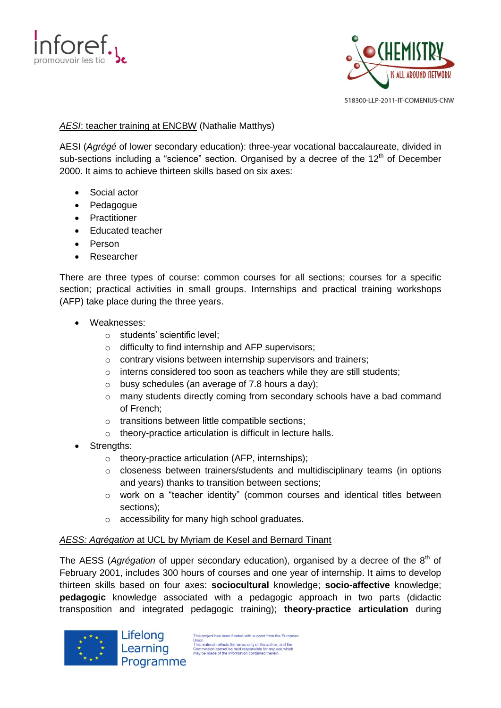



#### **AESI:** teacher training at ENCBW (Nathalie Matthys)

AESI (*Agrégé* of lower secondary education): three-year vocational baccalaureate, divided in sub-sections including a "science" section. Organised by a decree of the 12<sup>th</sup> of December 2000. It aims to achieve thirteen skills based on six axes:

- Social actor
- Pedagogue
- Practitioner
- Educated teacher
- Person
- Researcher

There are three types of course: common courses for all sections; courses for a specific section; practical activities in small groups. Internships and practical training workshops (AFP) take place during the three years.

- Weaknesses:
	- o students' scientific level;
	- o difficulty to find internship and AFP supervisors;
	- o contrary visions between internship supervisors and trainers;
	- o interns considered too soon as teachers while they are still students;
	- $\circ$  busy schedules (an average of 7.8 hours a day):
	- $\circ$  many students directly coming from secondary schools have a bad command of French;
	- o transitions between little compatible sections;
	- o theory-practice articulation is difficult in lecture halls.
- Strengths:
	- o theory-practice articulation (AFP, internships);
	- o closeness between trainers/students and multidisciplinary teams (in options and years) thanks to transition between sections;
	- o work on a "teacher identity" (common courses and identical titles between sections);
	- o accessibility for many high school graduates.

#### *AESS: Agrégation* at UCL by Myriam de Kesel and Bernard Tinant

The AESS (*Agrégation* of upper secondary education), organised by a decree of the 8<sup>th</sup> of February 2001, includes 300 hours of courses and one year of internship. It aims to develop thirteen skills based on four axes: **sociocultural** knowledge; **socio-affective** knowledge; **pedagogic** knowledge associated with a pedagogic approach in two parts (didactic transposition and integrated pedagogic training); **theory-practice articulation** during



Lifelong Learning Programme

This project has been funded with support from the European This project nas been runded with support nont are Europ<br>This material reflects the views only of the author,<br>Commission cannot be held responsible for any use which<br>may be made of the information contained therein.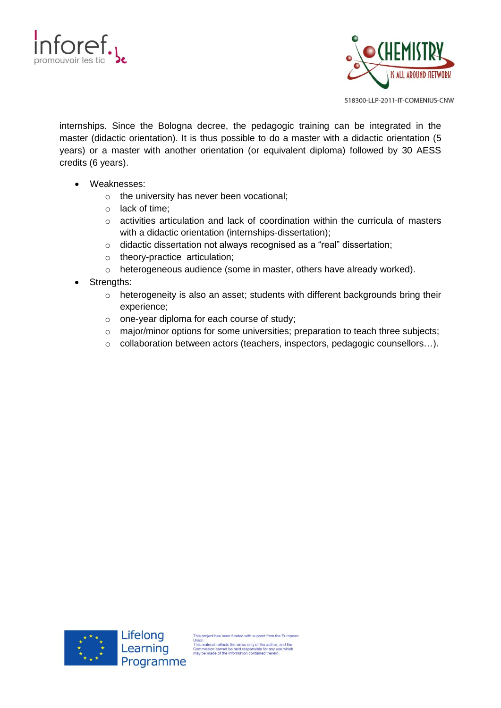



internships. Since the Bologna decree, the pedagogic training can be integrated in the master (didactic orientation). It is thus possible to do a master with a didactic orientation (5 years) or a master with another orientation (or equivalent diploma) followed by 30 AESS credits (6 years).

- Weaknesses:
	- o the university has never been vocational;
	- o lack of time;
	- o activities articulation and lack of coordination within the curricula of masters with a didactic orientation (internships-dissertation);
	- o didactic dissertation not always recognised as a "real" dissertation;
	- o theory-practice articulation;
	- o heterogeneous audience (some in master, others have already worked).
- Strengths:
	- o heterogeneity is also an asset; students with different backgrounds bring their experience;
	- o one-year diploma for each course of study;
	- o major/minor options for some universities; preparation to teach three subjects;
	- o collaboration between actors (teachers, inspectors, pedagogic counsellors…).



This project has been funded with support from the European This project nas been iditied with support from the Europe<br>This material reflects the views only of the author,<br>Commission cannot be held responsible for any use which<br>may be made of the information contained therein.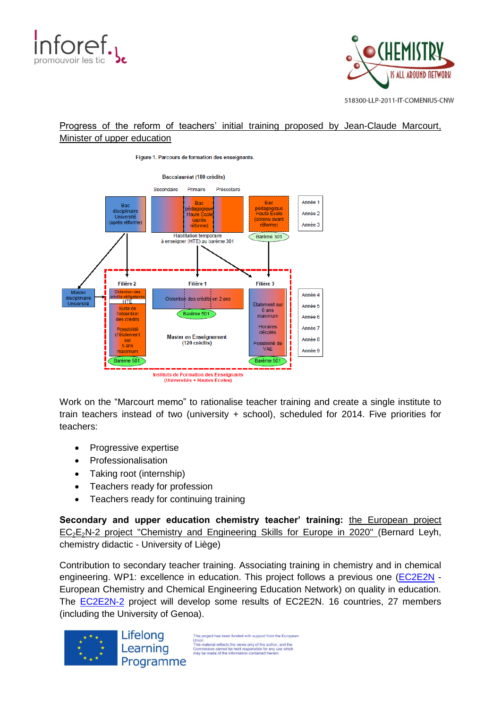



# Progress of the reform of teachers' initial training proposed by Jean-Claude Marcourt, Minister of upper education





Work on the "Marcourt memo" to rationalise teacher training and create a single institute to train teachers instead of two (university + school), scheduled for 2014. Five priorities for teachers:

- Progressive expertise
- Professionalisation
- Taking root (internship)
- Teachers ready for profession
- Teachers ready for continuing training

**Secondary and upper education chemistry teacher' training:** the European project  $EC<sub>2</sub>E<sub>2</sub>N-2$  project "Chemistry and Engineering Skills for Europe in 2020" (Bernard Leyh, chemistry didactic - University of Liège)

Contribution to secondary teacher training. Associating training in chemistry and in chemical engineering. WP1: excellence in education. This project follows a previous one [\(EC2E2N](http://ectn-assoc.cpe.fr/network/ec2e2n/ec2e2n_default%202009-2012.htm) -European Chemistry and Chemical Engineering Education Network) on quality in education. The **[EC2E2N-2](http://ectn-assoc.cpe.fr/network/ec2e2n/)** project will develop some results of EC2E2N. 16 countries, 27 members (including the University of Genoa).



This project has been funded with support from the European This material reflects the views only of the author.<br>This material reflects the views only of the author, and the<br>Commission cannot be held responsible for any use which<br>may be made of the information contained therein.